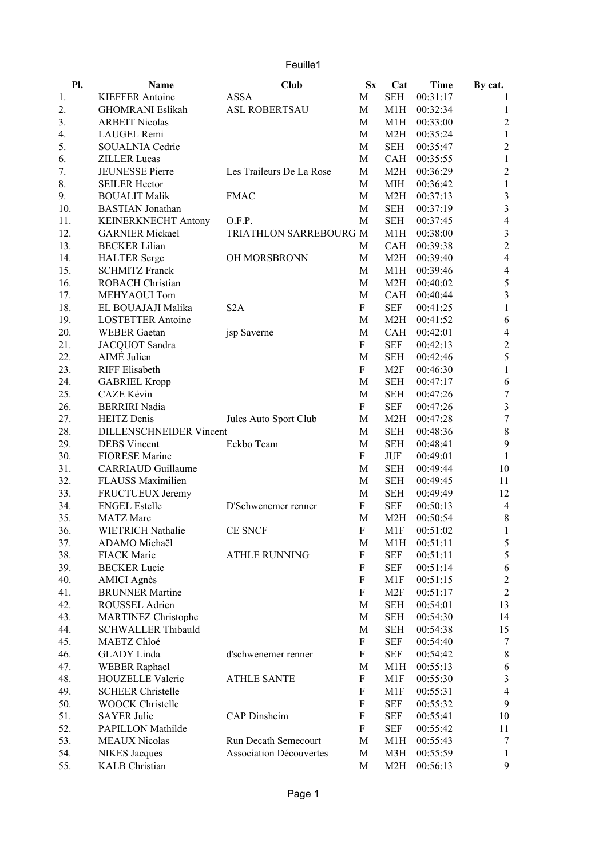| Feuille1 |  |  |  |
|----------|--|--|--|
|          |  |  |  |

| Pl.        | Name                                                    | Club                           | $S_{X}$ | Cat        | Time     | By cat.          |
|------------|---------------------------------------------------------|--------------------------------|---------|------------|----------|------------------|
| 1.         | <b>KIEFFER Antoine</b>                                  | <b>ASSA</b>                    | М       | <b>SEH</b> | 00:31:17 | $\mathbf{I}$     |
| 2.         | <b>GHOMRANI Eslikah</b>                                 | <b>ASL ROBERTSAU</b>           | M       | M1H        | 00:32:34 | 1                |
| 3.         | <b>ARBEIT Nicolas</b>                                   |                                | M       | M1H        | 00:33:00 | $\sqrt{2}$       |
| 4.         | LAUGEL Remi                                             |                                | M       | M2H        | 00:35:24 | $\mathbf{1}$     |
| 5.         | SOUALNIA Cedric                                         |                                | M       | <b>SEH</b> | 00:35:47 | $\overline{c}$   |
| 6.         | <b>ZILLER Lucas</b>                                     |                                | M       | CAH        | 00:35:55 | $\mathbf 1$      |
| 7.         | JEUNESSE Pierre                                         | Les Traileurs De La Rose       | M       | M2H        | 00:36:29 | $\sqrt{2}$       |
| 8.         | <b>SEILER Hector</b>                                    |                                | M       | МIН        | 00:36:42 | $\mathbf{1}$     |
| 9.         | <b>BOUALIT Malik</b>                                    | <b>FMAC</b>                    | М       | M2H        | 00:37:13 | $\sqrt{3}$       |
| 10.        | <b>BASTIAN</b> Jonathan                                 |                                | M       | SEH        | 00:37:19 | $\sqrt{3}$       |
| 11.        | <b>KEINERKNECHT Antony</b>                              | O.F.P.                         | M       | <b>SEH</b> | 00:37:45 | $\overline{4}$   |
| 12.        | <b>GARNIER Mickael</b>                                  | TRIATHLON SARREBOURG M         |         | M1H        | 00:38:00 | $\sqrt{3}$       |
| 13.        | <b>BECKER Lilian</b>                                    |                                | M       | CAH        | 00:39:38 | $\sqrt{2}$       |
| 14.        | <b>HALTER</b> Serge                                     | OH MORSBRONN                   | M       | M2H        | 00:39:40 | $\overline{4}$   |
| 15.        | <b>SCHMITZ Franck</b>                                   |                                | M       | M1H        | 00:39:46 | $\overline{4}$   |
| 16.        | <b>ROBACH Christian</b>                                 |                                | M       | M2H        | 00:40:02 | $\sqrt{5}$       |
| 17.        | MEHYAOUI Tom                                            |                                | M       | CAH        | 00:40:44 | $\mathfrak{Z}$   |
| 18.        | EL BOUAJAJI Malika                                      | S <sub>2</sub> A               | F       | <b>SEF</b> | 00:41:25 | $\mathbf{1}$     |
| 19.        | <b>LOSTETTER Antoine</b>                                |                                | M       | M2H        | 00:41:52 | 6                |
| 20.        | <b>WEBER</b> Gaetan                                     | jsp Saverne                    | M       | CAH        | 00:42:01 | $\overline{4}$   |
| 21.        | JACQUOT Sandra                                          |                                | F       | <b>SEF</b> | 00:42:13 | $\boldsymbol{2}$ |
| 22.        | AIMÉ Julien                                             |                                | M       | SEH        | 00:42:46 | 5                |
| 23.        | <b>RIFF</b> Elisabeth                                   |                                | F       | M2F        | 00:46:30 | $\mathbf{1}$     |
| 24.        | <b>GABRIEL Kropp</b>                                    |                                | M       | SEH        | 00:47:17 | $\boldsymbol{6}$ |
| 25.        | CAZE Kévin                                              |                                | M       | SEH        | 00:47:26 | $\tau$           |
| 26.        | <b>BERRIRI</b> Nadia                                    |                                | F       | <b>SEF</b> | 00:47:26 | $\sqrt{3}$       |
| 27.        | <b>HEITZ</b> Denis                                      | Jules Auto Sport Club          | M       | M2H        | 00:47:28 | $\tau$           |
| 28.        | <b>DILLENSCHNEIDER Vincent</b>                          |                                | M       | SEH        | 00:48:36 | $\,$ $\,$        |
| 29.        | <b>DEBS</b> Vincent                                     | Eckbo Team                     | M       | SEH        | 00:48:41 | $\boldsymbol{9}$ |
| 30.        | <b>FIORESE</b> Marine                                   |                                | F       | JUF        | 00:49:01 | $\mathbf{1}$     |
| 31.        | <b>CARRIAUD</b> Guillaume                               |                                | M       | SEH        | 00:49:44 | 10               |
| 32.        | <b>FLAUSS Maximilien</b>                                |                                | M       | <b>SEH</b> | 00:49:45 | 11               |
| 33.        | FRUCTUEUX Jeremy                                        |                                | M       | SEH        | 00:49:49 | 12               |
| 34.        | <b>ENGEL Estelle</b>                                    | D'Schwenemer renner            | F       | <b>SEF</b> | 00:50:13 | $\overline{4}$   |
| 35.        | <b>MATZ</b> Marc                                        |                                | M       | M2H        | 00:50:54 | $\,$ 8 $\,$      |
| 36.        | WIETRICH Nathalie                                       | <b>CE SNCF</b>                 | F       | M1F        | 00:51:02 | $\mathbf{1}$     |
| 37.        | ADAMO Michaël                                           |                                | M       | M1H        | 00:51:11 | 5                |
| 38.        | <b>FIACK Marie</b>                                      | <b>ATHLE RUNNING</b>           | F       | <b>SEF</b> | 00:51:11 | 5                |
| 39.        | <b>BECKER Lucie</b>                                     |                                | F       | <b>SEF</b> | 00:51:14 | $\boldsymbol{6}$ |
| 40.        | <b>AMICI</b> Agnès                                      |                                | F       | M1F        | 00:51:15 | $\overline{c}$   |
| 41.        | <b>BRUNNER Martine</b>                                  |                                | F       | M2F        | 00:51:17 | $\overline{2}$   |
| 42.        | ROUSSEL Adrien                                          |                                | M       | <b>SEH</b> | 00:54:01 | 13               |
| 43.        |                                                         |                                | M       | <b>SEH</b> | 00:54:30 | 14               |
| 44.        | <b>MARTINEZ Christophe</b><br><b>SCHWALLER Thibauld</b> |                                | M       | <b>SEH</b> | 00:54:38 | 15               |
| 45.        | MAETZ Chloé                                             |                                | F       | <b>SEF</b> | 00:54:40 | 7                |
| 46.        |                                                         |                                | F       |            | 00:54:42 |                  |
|            | <b>GLADY</b> Linda                                      | d'schwenemer renner            |         | <b>SEF</b> |          | $\,$ $\,$        |
| 47.<br>48. | <b>WEBER Raphael</b>                                    |                                | М<br>F  | M1H        | 00:55:13 | 6                |
|            | <b>HOUZELLE Valerie</b>                                 | <b>ATHLE SANTE</b>             |         | M1F        | 00:55:30 | $\mathfrak{Z}$   |
| 49.        | <b>SCHEER Christelle</b>                                |                                | F       | M1F        | 00:55:31 | $\overline{4}$   |
| 50.        | <b>WOOCK Christelle</b>                                 |                                | F       | SEF        | 00:55:32 | 9                |
| 51.        | <b>SAYER Julie</b>                                      | <b>CAP</b> Dinsheim            | F       | <b>SEF</b> | 00:55:41 | 10               |
| 52.        | PAPILLON Mathilde                                       |                                | F       | SEF        | 00:55:42 | 11               |
| 53.        | <b>MEAUX Nicolas</b>                                    | Run Decath Semecourt           | М       | M1H        | 00:55:43 | 7                |
| 54.        | <b>NIKES</b> Jacques                                    | <b>Association Découvertes</b> | М       | M3H        | 00:55:59 | $\mathbf{1}$     |
| 55.        | <b>KALB</b> Christian                                   |                                | М       | M2H        | 00:56:13 | 9                |